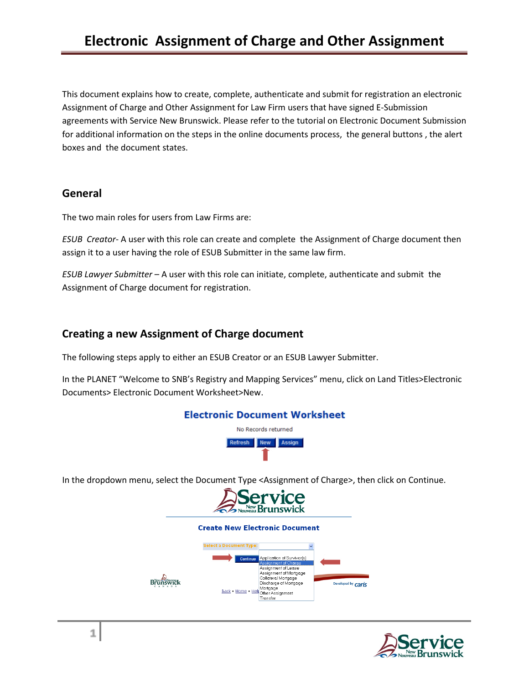This document explains how to create, complete, authenticate and submit for registration an electronic Assignment of Charge and Other Assignment for Law Firm users that have signed E-Submission agreements with Service New Brunswick. Please refer to the tutorial on Electronic Document Submission for additional information on the steps in the online documents process, the general buttons , the alert boxes and the document states.

### **General**

The two main roles for users from Law Firms are:

*ESUB Creator*- A user with this role can create and complete the Assignment of Charge document then assign it to a user having the role of ESUB Submitter in the same law firm.

*ESUB Lawyer Submitter* – A user with this role can initiate, complete, authenticate and submit the Assignment of Charge document for registration.

## **Creating a new Assignment of Charge document**

The following steps apply to either an ESUB Creator or an ESUB Lawyer Submitter.

In the PLANET "Welcome to SNB's Registry and Mapping Services" menu, click on Land Titles>Electronic Documents> Electronic Document Worksheet>New.



In the dropdown menu, select the Document Type <Assignment of Charge>, then click on Continue.



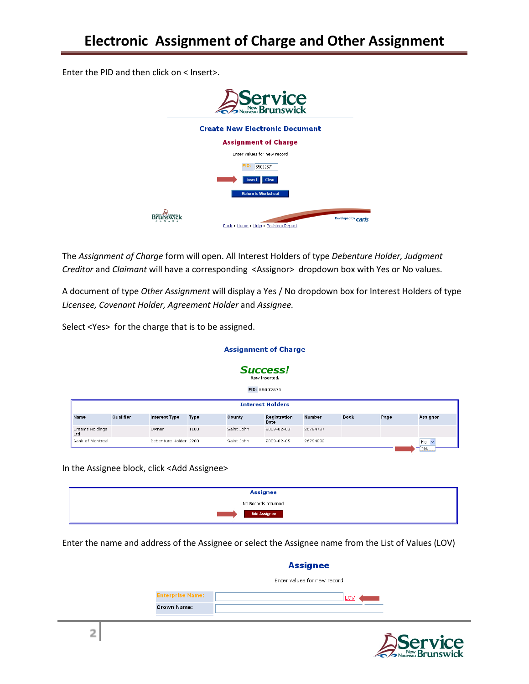Enter the PID and then click on < Insert>.



The *Assignment of Charge* form will open. All Interest Holders of type *Debenture Holder, Judgment Creditor* and *Claimant* will have a corresponding <Assignor> dropdown box with Yes or No values.

A document of type *Other Assignment* will display a Yes / No dropdown box for Interest Holders of type *Licensee, Covenant Holder, Agreement Holder* and *Assignee.*

**Assignment of Charge** 

Select <Yes> for the charge that is to be assigned.

| <b>Success!</b><br>Row inserted.<br>PID: 55092571 |           |                       |      |            |                         |               |             |      |                                |
|---------------------------------------------------|-----------|-----------------------|------|------------|-------------------------|---------------|-------------|------|--------------------------------|
|                                                   |           |                       |      |            | <b>Interest Holders</b> |               |             |      |                                |
| Name                                              | Qualifier | Interest Type         | Type | County     | Registration<br>Date    | <b>Number</b> | <b>Book</b> | Page | Assignor                       |
| Dreams Holdings<br>Ltd.                           |           | Owner                 | 1100 | Saint John | 2009-02-03              | 26784737      |             |      |                                |
| Bank of Montreal                                  |           | Debenture Holder 5200 |      | Saint John | 2009-02-05              | 26794892      |             |      | No<br>$\overline{\phantom{a}}$ |

In the Assignee block, click <Add Assignee>

| <b>Assignee</b>     |  |
|---------------------|--|
| No Records returned |  |
| <b>Add Assignee</b> |  |

Enter the name and address of the Assignee or select the Assignee name from the List of Values (LOV)

|                         | <b>Assignee</b>             |
|-------------------------|-----------------------------|
|                         | Enter values for new record |
| <b>Enterprise Name:</b> | LOV                         |
| <b>Crown Name:</b>      |                             |



 $Yes$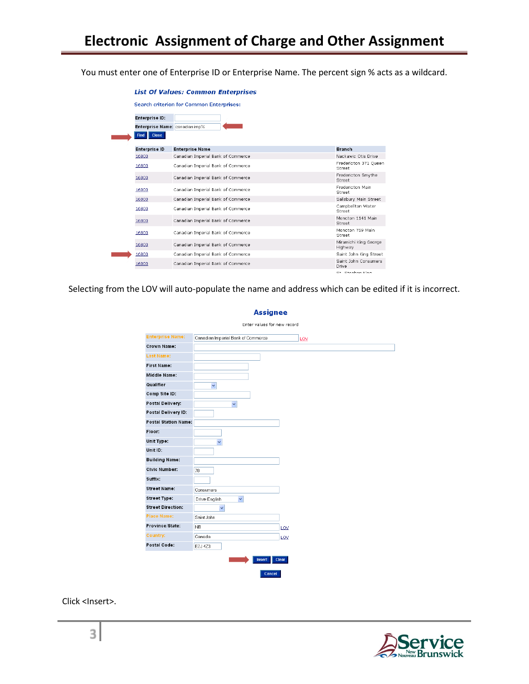You must enter one of Enterprise ID or Enterprise Name. The percent sign % acts as a wildcard.

| Enterprise ID:          |                                    |                                   |
|-------------------------|------------------------------------|-----------------------------------|
|                         | Enterprise Name: canadian imp%     |                                   |
| <b>Close</b><br>Find II |                                    |                                   |
| <b>Enterprise ID</b>    | <b>Enterprise Name</b>             | <b>Branch</b>                     |
| 16800                   | Canadian Imperial Bank of Commerce | Nackawic Otis Drive               |
| 16800                   | Canadian Imperial Bank of Commerce | Fredericton 371 Queen<br>Street   |
| 16800                   | Canadian Imperial Bank of Commerce | Fredericton Smythe<br>Street      |
| 16800                   | Canadian Imperial Bank of Commerce | <b>Fredericton Main</b><br>Street |
| 16800                   | Canadian Imperial Bank of Commerce | Salisbury Main Street             |
| 16800                   | Canadian Imperial Bank of Commerce | Campbellton Water<br>Street       |
| 16800                   | Canadian Imperial Bank of Commerce | Moncton 1141 Main<br>Street       |
| 16800                   | Canadian Imperial Bank of Commerce | Moncton 759 Main<br>Street        |
| 16800                   | Canadian Imperial Bank of Commerce | Miramichi King George<br>Highway  |
| 16800                   | Canadian Imperial Bank of Commerce | Saint John King Street            |
| 16800                   | Canadian Imperial Bank of Commerce | Saint John Consumers<br>Drive     |
|                         |                                    | Ct. Ctophon Vina                  |

Selecting from the LOV will auto-populate the name and address which can be edited if it is incorrect.

| <b>Enterprise Name:</b>     | Canadian Imperial Bank of Commerce |     |  |
|-----------------------------|------------------------------------|-----|--|
| <b>Crown Name:</b>          |                                    |     |  |
| <b>Last Name:</b>           |                                    |     |  |
| <b>First Name:</b>          |                                    |     |  |
| <b>Middle Name:</b>         |                                    |     |  |
| Qualifier                   | $\checkmark$                       |     |  |
| Comp Site ID:               |                                    |     |  |
| Postal Delivery:            | $\checkmark$                       |     |  |
| Postal Delivery ID:         |                                    |     |  |
| <b>Postal Station Name:</b> |                                    |     |  |
| Floor:                      |                                    |     |  |
| Unit Type:                  | $\checkmark$                       |     |  |
| Unit ID:                    |                                    |     |  |
| <b>Building Name:</b>       |                                    |     |  |
| <b>Civic Number:</b>        | 70                                 |     |  |
| Suffix:                     |                                    |     |  |
| <b>Street Name:</b>         | Consumers                          |     |  |
| <b>Street Type:</b>         | Drive-English<br>$\checkmark$      |     |  |
| <b>Street Direction:</b>    | $\checkmark$                       |     |  |
| <b>Place Name:</b>          | Saint John                         |     |  |
| Province/State:             | N <sub>B</sub>                     | LOV |  |
| Country:                    | Canada                             | LOV |  |
| Postal Code:                | E2J 4Z3                            |     |  |

**Assignee** 

Click <Insert>.

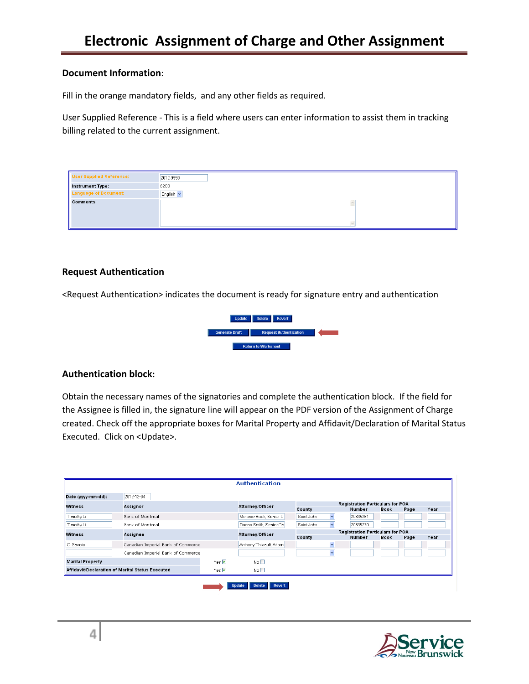#### **Document Information**:

Fill in the orange mandatory fields, and any other fields as required.

User Supplied Reference - This is a field where users can enter information to assist them in tracking billing related to the current assignment.

| <b>User Supplied Reference:</b> | 2012-9999 |
|---------------------------------|-----------|
| Instrument Type:                | 6200      |
| <b>Language of Document:</b>    | English v |
| Comments:                       |           |
|                                 |           |
|                                 |           |
|                                 |           |

#### **Request Authentication**

<Request Authentication> indicates the document is ready for signature entry and authentication



#### **Authentication block:**

Obtain the necessary names of the signatories and complete the authentication block. If the field for the Assignee is filled in, the signature line will appear on the PDF version of the Assignment of Charge created. Check off the appropriate boxes for Marital Property and Affidavit/Declaration of Marital Status Executed. Click on <Update>.

|                                                  |                                    |                     | <b>Authentication</b>                   |            |                                         |             |             |      |      |
|--------------------------------------------------|------------------------------------|---------------------|-----------------------------------------|------------|-----------------------------------------|-------------|-------------|------|------|
| Date (vvvv-mm-dd):                               | 2012-12-04                         |                     |                                         |            |                                         |             |             |      |      |
| <b>Witness</b>                                   | Assignor                           | Attorney/Officer    | <b>Registration Particulars for POA</b> |            |                                         |             |             |      |      |
|                                                  |                                    |                     | County                                  |            | <b>Number</b>                           | <b>Book</b> | Page        | Year |      |
| Timothy Li                                       | Bank of Montreal                   |                     | Melanie Back, Senior O                  | Saint John | $\checkmark$                            | 20835261    |             |      |      |
| Timothy Li                                       | Bank of Montreal                   |                     | Donna Smith, Senior Op                  | Saint John |                                         | 20835270    |             |      |      |
| <b>Witness</b>                                   | Assignee                           | Attorney/Officer    |                                         |            | <b>Registration Particulars for POA</b> |             |             |      |      |
|                                                  |                                    |                     |                                         | County     |                                         | Number      | <b>Book</b> | Page | Year |
| C. Savoie                                        | Canadian Imperial Bank of Commerce |                     | Anthony Thibault, Attorni               |            | $\overline{\phantom{a}}$                |             |             |      |      |
|                                                  | Canadian Imperial Bank of Commerce |                     |                                         |            | $\overline{\phantom{a}}$                |             |             |      |      |
| <b>Marital Property</b>                          |                                    | Yes $\Box$          | No <sub>1</sub>                         |            |                                         |             |             |      |      |
| Affidavit/Declaration of Marital Status Executed |                                    | Yes $\triangledown$ | No <sub>1</sub>                         |            |                                         |             |             |      |      |

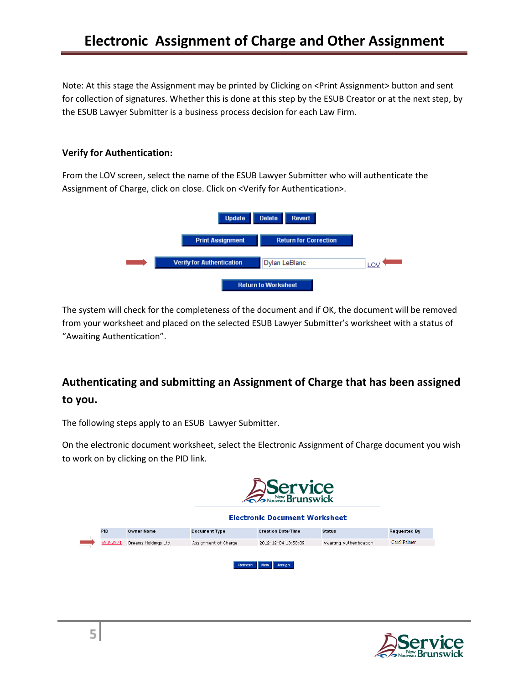Note: At this stage the Assignment may be printed by Clicking on <Print Assignment> button and sent for collection of signatures. Whether this is done at this step by the ESUB Creator or at the next step, by the ESUB Lawyer Submitter is a business process decision for each Law Firm.

#### **Verify for Authentication:**

From the LOV screen, select the name of the ESUB Lawyer Submitter who will authenticate the Assignment of Charge, click on close. Click on <Verify for Authentication>.



The system will check for the completeness of the document and if OK, the document will be removed from your worksheet and placed on the selected ESUB Lawyer Submitter's worksheet with a status of "Awaiting Authentication".

# **Authenticating and submitting an Assignment of Charge that has been assigned to you.**

The following steps apply to an ESUB Lawyer Submitter.

On the electronic document worksheet, select the Electronic Assignment of Charge document you wish to work on by clicking on the PID link.

|            |                      |                      | Service<br>SNorweau Brunswick<br><b>Electronic Document Worksheet</b> |                         |                     |
|------------|----------------------|----------------------|-----------------------------------------------------------------------|-------------------------|---------------------|
| <b>PID</b> | <b>Owner Name</b>    | <b>Document Type</b> | <b>Creation Date/Time</b>                                             | <b>Status</b>           | <b>Requested By</b> |
| 55092571   | Dreams Holdings Ltd. | Assignment of Charge | 2012-12-04 13:58:09                                                   | Awaiting Authentication | Carol Palmer        |

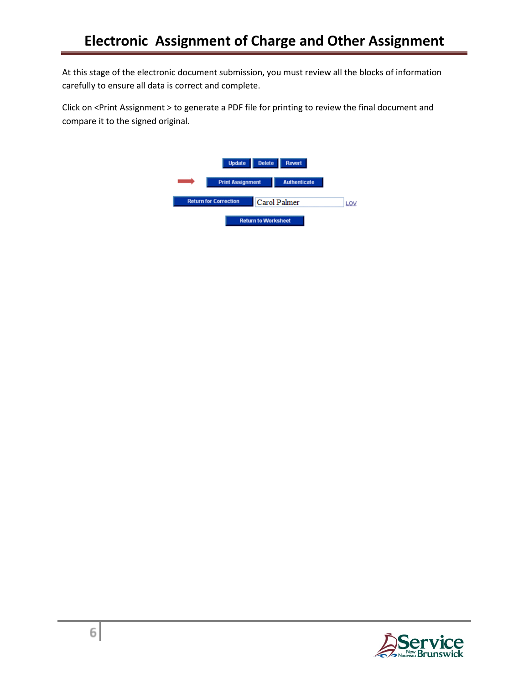At this stage of the electronic document submission, you must review all the blocks of information carefully to ensure all data is correct and complete.

Click on <Print Assignment > to generate a PDF file for printing to review the final document and compare it to the signed original.



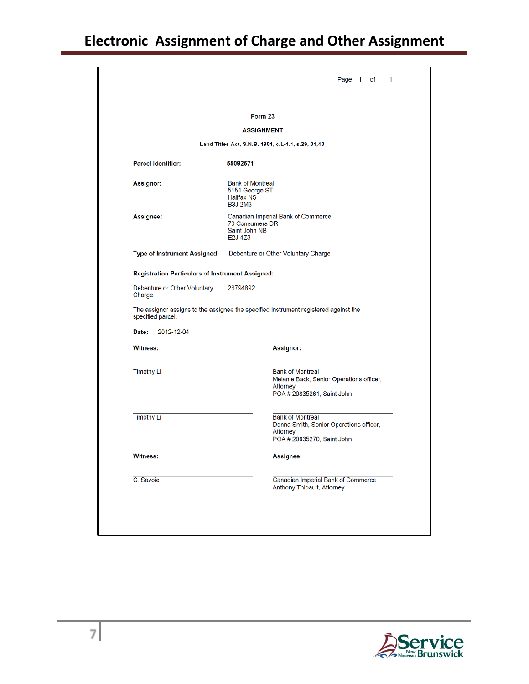# **Electronic Assignment of Charge and Other Assignment**

|                                                                                                   | Form 23                                                                                                       |  |
|---------------------------------------------------------------------------------------------------|---------------------------------------------------------------------------------------------------------------|--|
|                                                                                                   | <b>ASSIGNMENT</b>                                                                                             |  |
|                                                                                                   | Land Titles Act, S.N.B. 1981, c.L-1.1, s.29, 31,43                                                            |  |
| <b>Parcel Identifier:</b>                                                                         | 55092571                                                                                                      |  |
| Assignor:                                                                                         | <b>Bank of Montreal</b><br>5151 George ST<br><b>Halifax NS</b><br><b>B3J 2M3</b>                              |  |
| Assignee:                                                                                         | Canadian Imperial Bank of Commerce<br>70 Consumers DR<br>Saint John NB<br>E <sub>2</sub> J 4 <sub>Z</sub> 3   |  |
| Type of Instrument Assigned:                                                                      | Debenture or Other Voluntary Charge                                                                           |  |
|                                                                                                   |                                                                                                               |  |
|                                                                                                   |                                                                                                               |  |
| <b>Registration Particulars of Instrument Assigned:</b><br>Debenture or Other Voluntary<br>Charge | 26794892                                                                                                      |  |
|                                                                                                   | The assignor assigns to the assignee the specified instrument registered against the                          |  |
| specified parcel.<br>2012-12-04<br>Date:                                                          |                                                                                                               |  |
|                                                                                                   | Assignor:                                                                                                     |  |
| Witness:<br><b>Timothy Li</b>                                                                     | <b>Bank of Montreal</b><br>Melanie Back, Senior Operations officer,<br>Attorney<br>POA # 20835261, Saint John |  |
| <b>Timothy Li</b>                                                                                 | <b>Bank of Montreal</b><br>Donna Smith, Senior Operations officer,<br>Attorney<br>POA # 20835270, Saint John  |  |
| Witness:                                                                                          | Assignee:                                                                                                     |  |

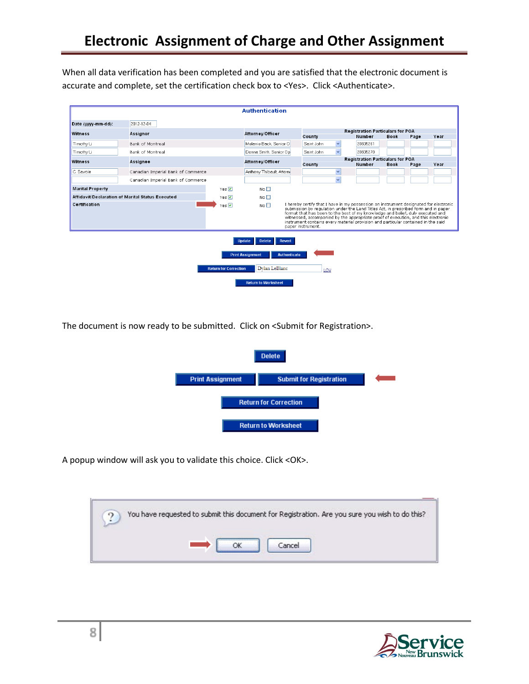When all data verification has been completed and you are satisfied that the electronic document is accurate and complete, set the certification check box to <Yes>. Click <Authenticate>.

|                         |                                                  |              | <b>Authentication</b>                |                                                                            |                         |                                                                                                                                                                                                                                                                                                                                                                                                                                          |             |      |      |
|-------------------------|--------------------------------------------------|--------------|--------------------------------------|----------------------------------------------------------------------------|-------------------------|------------------------------------------------------------------------------------------------------------------------------------------------------------------------------------------------------------------------------------------------------------------------------------------------------------------------------------------------------------------------------------------------------------------------------------------|-------------|------|------|
| Date (vvvv-mm-dd):      | 2012-12-04                                       |              |                                      |                                                                            |                         |                                                                                                                                                                                                                                                                                                                                                                                                                                          |             |      |      |
| <b>Witness</b>          | Assignor                                         |              | Attorney/Officer                     | <b>Registration Particulars for POA</b><br>County<br>Number<br><b>Book</b> |                         |                                                                                                                                                                                                                                                                                                                                                                                                                                          |             |      |      |
| Timothy Li              | Bank of Montreal                                 |              | Melanie Back, Senior O               | Saint John                                                                 | $\checkmark$            | 20835261                                                                                                                                                                                                                                                                                                                                                                                                                                 |             | Page | Year |
| Timothy Li              | Bank of Montreal                                 |              | Donna Smith, Senior Op               | Saint John                                                                 | $\overline{\mathbf{v}}$ | 20835270                                                                                                                                                                                                                                                                                                                                                                                                                                 |             |      |      |
|                         |                                                  |              |                                      |                                                                            |                         | <b>Registration Particulars for POA</b>                                                                                                                                                                                                                                                                                                                                                                                                  |             |      |      |
| <b>Witness</b>          | Assignee                                         |              | Attorney/Officer                     | County                                                                     |                         | <b>Number</b>                                                                                                                                                                                                                                                                                                                                                                                                                            | <b>Book</b> | Page | Year |
| C. Savnie               | Canadian Imperial Bank of Commerce               |              | Anthony Thibault, Attorni            |                                                                            | $\checkmark$            |                                                                                                                                                                                                                                                                                                                                                                                                                                          |             |      |      |
|                         | Canadian Imperial Bank of Commerce               |              |                                      |                                                                            | $\checkmark$            |                                                                                                                                                                                                                                                                                                                                                                                                                                          |             |      |      |
| <b>Marital Property</b> |                                                  | Yes $\nabla$ | No <sub>1</sub>                      |                                                                            |                         |                                                                                                                                                                                                                                                                                                                                                                                                                                          |             |      |      |
|                         | Affidavit/Declaration of Marital Status Executed | Yes <b>⊽</b> | No <sub>1</sub>                      |                                                                            |                         |                                                                                                                                                                                                                                                                                                                                                                                                                                          |             |      |      |
| Certification           |                                                  | Yes M        | No <sub>1</sub><br>paper instrument. |                                                                            |                         | I hereby certify that I have in my possession an instrument designated for electronic<br>submission by regulation under the Land Titles Act, in prescribed form and in paper<br>format that has been to the best of my knowledge and belief, duly executed and<br>witnessed, accompanied by the appropriate proof of execution, and this electronic<br>instrument contains every material provision and particular contained in the said |             |      |      |

The document is now ready to be submitted. Click on <Submit for Registration>.



A popup window will ask you to validate this choice. Click <OK>.



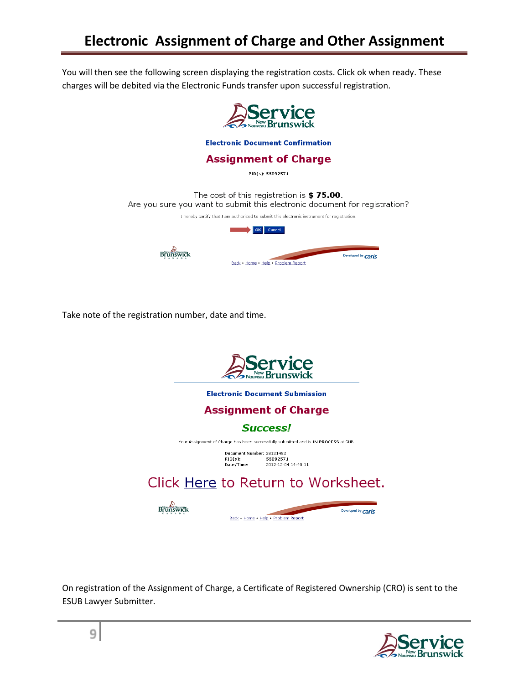You will then see the following screen displaying the registration costs. Click ok when ready. These charges will be debited via the Electronic Funds transfer upon successful registration.



Take note of the registration number, date and time.



On registration of the Assignment of Charge, a Certificate of Registered Ownership (CRO) is sent to the ESUB Lawyer Submitter.